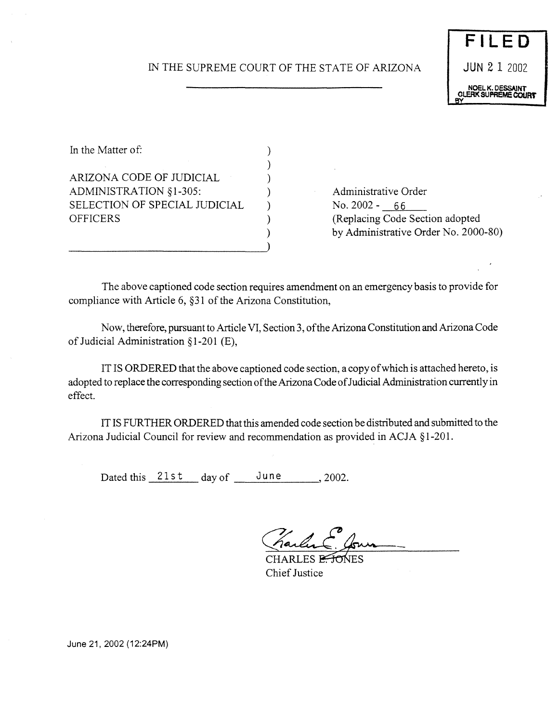## IN THE SUPREME COURT OF THE STATE OF ARIZONA

 $\lambda$ ) ) ) ) ) ) )

In the Matter of: ARIZONA CODE OF JUDICIAL ADMINISTRATION § *1-305:* SELECTION OF SPECIAL JUDICIAL **OFFICERS** 

Administrative Order No.2002- 66 (Replacing Code Section adopted by Administrative Order No. 2000-80)

The above captioned code section requires amendment on an emergency basis to provide for compliance with Article 6, §31 of the Arizona Constitution,

Now, therefore, pursuant to Article VI, Section 3, of the Arizona Constitution and Arizona Code of Judicial Administration §1-201 (E),

IT IS ORDERED that the above captioned code section, a copy of which is attached hereto, is adopted to replace the corresponding section of the Arizona Code of Judicial Administration currently in effect.

IT IS FURTHER ORDERED that this amended code section be distributed and submitted to the Arizona Judicial Council for review and recommendation as provided in ACJA § 1-201.

Dated this  $21st$  day of June 2002.

CHARLES E<del>TO</del>NES **Chief Justice** 

June **21, 2002 (12:24PM)**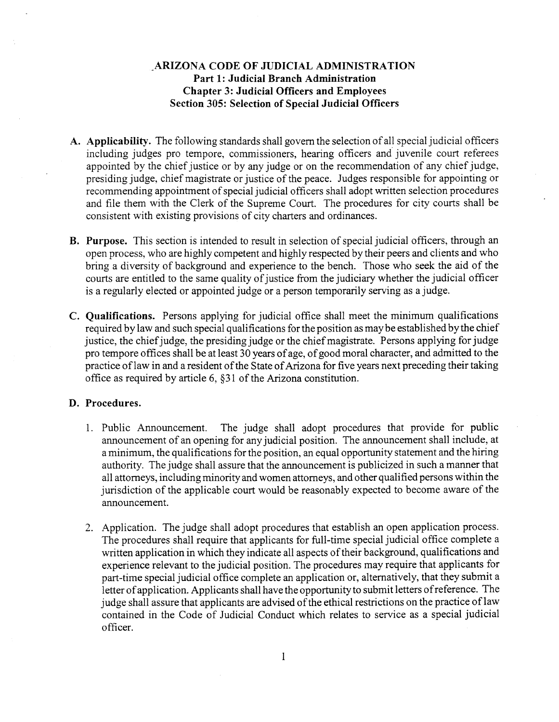## **ARIZONA CODE OF JUDICIAL ADMINISTRATION Part 1: Judicial Branch Administration Chapter 3: Judicial Officers and Employees Section 305: Selection of Special Judicial Officers**

- **A. Applicability.** The following standards shall govern the selection ofall special judicial officers including judges pro tempore, commissioners, hearing officers and juvenile court referees appointed by the chief justice or by any judge or on the recommendation of any chief judge, presiding judge, chief magistrate or justice of the peace. Judges responsible for appointing or recommending appointment of special judicial officers shall adopt written selection procedures and file them with the Clerk of the Supreme Court. The procedures for city courts shall be consistent with existing provisions of city charters and ordinances.
- **B.** Purpose. This section is intended to result in selection of special judicial officers, through an open process, who are highly competent and highly respected by their peers and clients and who bring a diversity of background and experience to the bench. Those who seek the aid of the courts are entitled to the same quality of justice from the judiciary whether the judicial officer is a regularly elected or appointed judge or a person temporarily serving as a judge.
- **C. Qualifications.** Persons applying for judicial office shall meet the minimum qualifications required by law and such special qualifications for the position as may be established by the chief justice, the chief judge, the presiding judge or the chief magistrate. Persons applying for judge pro tempore offices shall be at least 30 years of age, of good moral character, and admitted to the practice of law in and a resident of the State of Arizona for five years next preceding their taking office as required by article 6, §31 of the Arizona constitution.

## **D. Procedures.**

- 1. Public Announcement. The judge shall adopt procedures that provide for public announcement of an opening for any judicial position. The announcement shall include, at aminimum, the qualifications forthe position, an equal opportunity statement and the hiring authority. The judge shall assure that the announcement is publicized in such amannerthat all attorneys, including minority and women attorneys, and other qualified persons within the jurisdiction of the applicable court would be reasonably expected to become aware of the announcement.
- 2. Application. The judge shall adopt procedures that establish an open application process. The procedures shall require that applicants for full-time special judicial office complete a written application in which they indicate all aspects of their background, qualifications and experience relevant to the judicial position. The procedures may require that applicants for part-time special judicial office complete an application or, alternatively, that they submit a letter of application. Applicants shall have the opportunity to submit letters of reference. The judge shall assure that applicants are advised of the ethical restrictions on the practice of law contained in the Code of Judicial Conduct which relates to service as a special judicial officer.